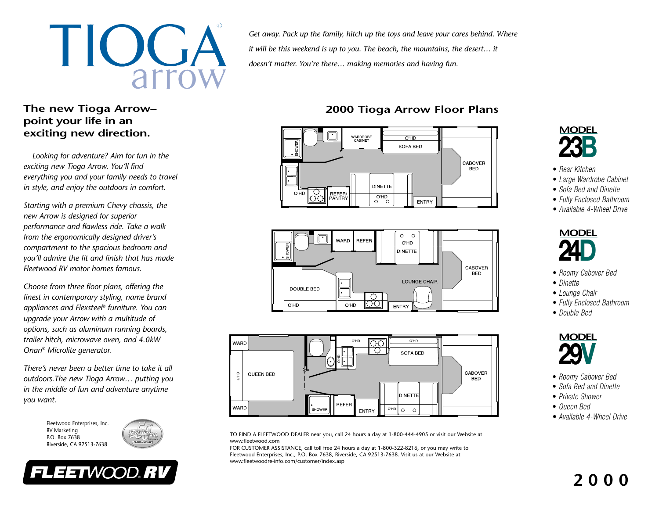

#### **The new Tioga Arrow– point your life in an exciting new direction.**

*Looking for adventure? Aim for fun in the exciting new Tioga Arrow. You'll find everything you and your family needs to travel in style, and enjoy the outdoors in comfort.*

*Starting with a premium Chevy chassis, the new Arrow is designed for superior performance and flawless ride. Take a walk from the ergonomically designed driver's compartment to the spacious bedroom and you'll admire the fit and finish that has made Fleetwood RV motor homes famous.*

*Choose from three floor plans, offering the finest in contemporary styling, name brand appliances and Flexsteel® furniture. You can upgrade your Arrow with a multitude of options, such as aluminum running boards, trailer hitch, microwave oven, and 4.0kW Onan® Microlite generator.*

*There's never been a better time to take it alloutdoors.The new Tioga Arrow… putting you in the middle of fun and adventure anytime you want.*

FLEETWOOD.RV

Fleetwood Enterprises, Inc. RV Marketing P.O. Box 7638Riverside, CA 92513-7638



*Get away. Pack up the family, hitch up the toys and leave your cares behind. Where it will be this weekend is up to you. The beach, the mountains, the desert… it doesn't matter. You're there… making memories and having fun.*

### **2000 Tioga Arrow Floor Plans**







TO FIND A FLEETWOOD DEALER near you, call 24 hours a day at 1-800-444-4905 or visit our Website at www.fleetwood.com

FOR CUSTOMER ASSISTANCE, call toll free 24 hours a day at 1-800-322-8216, or you may write to Fleetwood Enterprises, Inc., P.O. Box 7638, Riverside, CA 92513-7638. Visit us at our Website at www.fleetwoodre-info.com/customer/index.asp

# **MODEL23B**

- *Rear Kitchen*
- *Large Wardrobe Cabinet*
- *Sofa Bed and Dinette*
- *Fully Enclosed Bathroom*
- *Available 4-Wheel Drive*



- *Roomy Cabover Bed*
- *Dinette*
- *Lounge Chair*
- *Fully Enclosed Bathroom*
- *Double Bed*



- *Roomy Cabover Bed*
- *Sofa Bed and Dinette*
- *Private Shower*
- *Queen Bed*
- *Available 4-Wheel Drive*